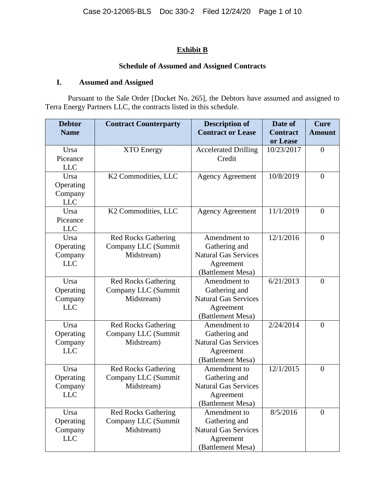## **Exhibit B**

## **Schedule of Assumed and Assigned Contracts**

## **I. Assumed and Assigned**

Pursuant to the Sale Order [Docket No. 265], the Debtors have assumed and assigned to Terra Energy Partners LLC, the contracts listed in this schedule.

| <b>Debtor</b><br><b>Name</b>               | <b>Contract Counterparty</b>                                    | <b>Description of</b><br><b>Contract or Lease</b>                                              | Date of<br><b>Contract</b><br>or Lease | <b>Cure</b><br><b>Amount</b> |
|--------------------------------------------|-----------------------------------------------------------------|------------------------------------------------------------------------------------------------|----------------------------------------|------------------------------|
| Ursa<br>Piceance<br><b>LLC</b>             | <b>XTO Energy</b>                                               | <b>Accelerated Drilling</b><br>Credit                                                          | 10/23/2017                             | $\overline{0}$               |
| Ursa<br>Operating<br>Company<br><b>LLC</b> | K2 Commodities, LLC                                             | <b>Agency Agreement</b>                                                                        | 10/8/2019                              | $\overline{0}$               |
| Ursa<br>Piceance<br><b>LLC</b>             | K2 Commodities, LLC                                             | <b>Agency Agreement</b>                                                                        | 11/1/2019                              | $\theta$                     |
| Ursa<br>Operating<br>Company<br><b>LLC</b> | <b>Red Rocks Gathering</b><br>Company LLC (Summit<br>Midstream) | Amendment to<br>Gathering and<br><b>Natural Gas Services</b><br>Agreement<br>(Battlement Mesa) | 12/1/2016                              | $\overline{0}$               |
| Ursa<br>Operating<br>Company<br><b>LLC</b> | <b>Red Rocks Gathering</b><br>Company LLC (Summit<br>Midstream) | Amendment to<br>Gathering and<br><b>Natural Gas Services</b><br>Agreement<br>(Battlement Mesa) | 6/21/2013                              | $\overline{0}$               |
| Ursa<br>Operating<br>Company<br><b>LLC</b> | <b>Red Rocks Gathering</b><br>Company LLC (Summit<br>Midstream) | Amendment to<br>Gathering and<br><b>Natural Gas Services</b><br>Agreement<br>(Battlement Mesa) | 2/24/2014                              | $\theta$                     |
| Ursa<br>Operating<br>Company<br><b>LLC</b> | <b>Red Rocks Gathering</b><br>Company LLC (Summit<br>Midstream) | Amendment to<br>Gathering and<br><b>Natural Gas Services</b><br>Agreement<br>(Battlement Mesa) | 12/1/2015                              | $\overline{0}$               |
| Ursa<br>Operating<br>Company<br><b>LLC</b> | <b>Red Rocks Gathering</b><br>Company LLC (Summit<br>Midstream) | Amendment to<br>Gathering and<br><b>Natural Gas Services</b><br>Agreement<br>(Battlement Mesa) | 8/5/2016                               | $\overline{0}$               |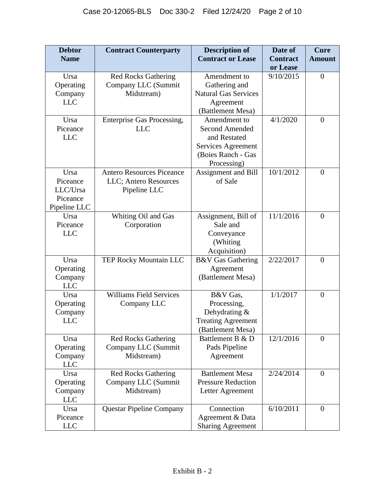| <b>Debtor</b>                                            | <b>Contract Counterparty</b>                                              | <b>Description of</b>                                                                                            | Date of                     | <b>Cure</b>    |
|----------------------------------------------------------|---------------------------------------------------------------------------|------------------------------------------------------------------------------------------------------------------|-----------------------------|----------------|
| <b>Name</b>                                              |                                                                           | <b>Contract or Lease</b>                                                                                         | <b>Contract</b><br>or Lease | <b>Amount</b>  |
| Ursa<br>Operating<br>Company<br><b>LLC</b>               | <b>Red Rocks Gathering</b><br>Company LLC (Summit<br>Midstream)           | Amendment to<br>Gathering and<br><b>Natural Gas Services</b><br>Agreement<br>(Battlement Mesa)                   | 9/10/2015                   | $\theta$       |
| Ursa<br>Piceance<br><b>LLC</b>                           | Enterprise Gas Processing,<br><b>LLC</b>                                  | Amendment to<br><b>Second Amended</b><br>and Restated<br>Services Agreement<br>(Boies Ranch - Gas<br>Processing) | 4/1/2020                    | $\mathbf{0}$   |
| Ursa<br>Piceance<br>LLC/Ursa<br>Piceance<br>Pipeline LLC | <b>Antero Resources Piceance</b><br>LLC; Antero Resources<br>Pipeline LLC | Assignment and Bill<br>of Sale                                                                                   | 10/1/2012                   | $\theta$       |
| Ursa<br>Piceance<br><b>LLC</b>                           | Whiting Oil and Gas<br>Corporation                                        | Assignment, Bill of<br>Sale and<br>Conveyance<br>(Whiting<br>Acquisition)                                        | 11/1/2016                   | $\overline{0}$ |
| Ursa<br>Operating<br>Company<br><b>LLC</b>               | TEP Rocky Mountain LLC                                                    | <b>B&amp;V</b> Gas Gathering<br>Agreement<br>(Battlement Mesa)                                                   | 2/22/2017                   | $\mathbf{0}$   |
| Ursa<br>Operating<br>Company<br><b>LLC</b>               | <b>Williams Field Services</b><br>Company LLC                             | B&V Gas,<br>Processing,<br>Dehydrating &<br><b>Treating Agreement</b><br>(Battlement Mesa)                       | 1/1/2017                    | $\overline{0}$ |
| Ursa<br>Operating<br>Company<br><b>LLC</b>               | <b>Red Rocks Gathering</b><br>Company LLC (Summit<br>Midstream)           | Battlement B & D<br>Pads Pipeline<br>Agreement                                                                   | 12/1/2016                   | $\theta$       |
| Ursa<br>Operating<br>Company<br><b>LLC</b>               | <b>Red Rocks Gathering</b><br>Company LLC (Summit<br>Midstream)           | <b>Battlement Mesa</b><br><b>Pressure Reduction</b><br>Letter Agreement                                          | 2/24/2014                   | $\overline{0}$ |
| Ursa<br>Piceance<br><b>LLC</b>                           | <b>Questar Pipeline Company</b>                                           | Connection<br>Agreement & Data<br><b>Sharing Agreement</b>                                                       | 6/10/2011                   | $\theta$       |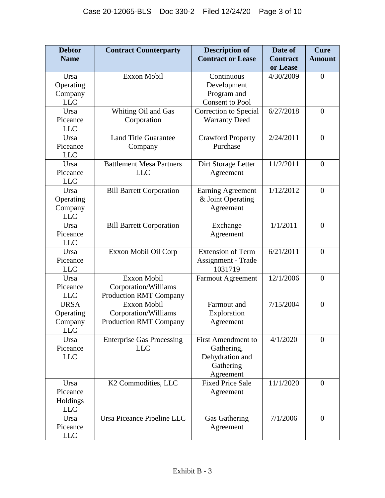| <b>Debtor</b>                                     | <b>Contract Counterparty</b>                                                | <b>Description of</b>                                                                | Date of                     | <b>Cure</b>      |
|---------------------------------------------------|-----------------------------------------------------------------------------|--------------------------------------------------------------------------------------|-----------------------------|------------------|
| <b>Name</b>                                       |                                                                             | <b>Contract or Lease</b>                                                             | <b>Contract</b><br>or Lease | <b>Amount</b>    |
| Ursa<br>Operating<br>Company                      | <b>Exxon Mobil</b>                                                          | Continuous<br>Development<br>Program and                                             | 4/30/2009                   | $\mathbf{0}$     |
| <b>LLC</b><br>Ursa<br>Piceance<br><b>LLC</b>      | Whiting Oil and Gas<br>Corporation                                          | <b>Consent to Pool</b><br>Correction to Special<br><b>Warranty Deed</b>              | 6/27/2018                   | $\mathbf{0}$     |
| Ursa<br>Piceance<br><b>LLC</b>                    | <b>Land Title Guarantee</b><br>Company                                      | <b>Crawford Property</b><br>Purchase                                                 | 2/24/2011                   | $\mathbf{0}$     |
| Ursa<br>Piceance<br><b>LLC</b>                    | <b>Battlement Mesa Partners</b><br><b>LLC</b>                               | Dirt Storage Letter<br>Agreement                                                     | 11/2/2011                   | $\mathbf{0}$     |
| Ursa<br>Operating<br>Company<br><b>LLC</b>        | <b>Bill Barrett Corporation</b>                                             | <b>Earning Agreement</b><br>& Joint Operating<br>Agreement                           | 1/12/2012                   | $\mathbf{0}$     |
| Ursa<br>Piceance<br><b>LLC</b>                    | <b>Bill Barrett Corporation</b>                                             | Exchange<br>Agreement                                                                | 1/1/2011                    | $\theta$         |
| Ursa<br>Piceance<br><b>LLC</b>                    | Exxon Mobil Oil Corp                                                        | <b>Extension of Term</b><br>Assignment - Trade<br>1031719                            | 6/21/2011                   | $\boldsymbol{0}$ |
| Ursa<br>Piceance<br><b>LLC</b>                    | <b>Exxon Mobil</b><br>Corporation/Williams<br><b>Production RMT Company</b> | <b>Farmout Agreement</b>                                                             | 12/1/2006                   | $\mathbf{0}$     |
| <b>URSA</b><br>Operating<br>Company<br><b>LLC</b> | <b>Exxon Mobil</b><br>Corporation/Williams<br><b>Production RMT Company</b> | Farmout and<br>Exploration<br>Agreement                                              | 7/15/2004                   | $\boldsymbol{0}$ |
| Ursa<br>Piceance<br><b>LLC</b>                    | <b>Enterprise Gas Processing</b><br><b>LLC</b>                              | <b>First Amendment to</b><br>Gathering,<br>Dehydration and<br>Gathering<br>Agreement | 4/1/2020                    | $\overline{0}$   |
| Ursa<br>Piceance<br>Holdings<br><b>LLC</b>        | K2 Commodities, LLC                                                         | <b>Fixed Price Sale</b><br>Agreement                                                 | 11/1/2020                   | $\mathbf{0}$     |
| Ursa<br>Piceance<br><b>LLC</b>                    | Ursa Piceance Pipeline LLC                                                  | Gas Gathering<br>Agreement                                                           | 7/1/2006                    | $\theta$         |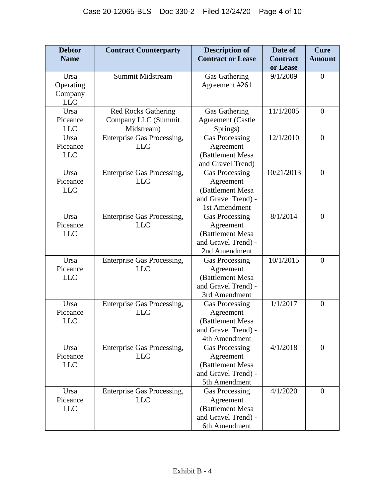| <b>Debtor</b>                  | <b>Contract Counterparty</b>                                    | <b>Description of</b>                                                                          | Date of                     | <b>Cure</b>    |
|--------------------------------|-----------------------------------------------------------------|------------------------------------------------------------------------------------------------|-----------------------------|----------------|
| <b>Name</b>                    |                                                                 | <b>Contract or Lease</b>                                                                       | <b>Contract</b><br>or Lease | <b>Amount</b>  |
| Ursa<br>Operating<br>Company   | <b>Summit Midstream</b>                                         | Gas Gathering<br>Agreement #261                                                                | 9/1/2009                    | $\overline{0}$ |
| <b>LLC</b>                     |                                                                 |                                                                                                |                             |                |
| Ursa<br>Piceance<br><b>LLC</b> | <b>Red Rocks Gathering</b><br>Company LLC (Summit<br>Midstream) | Gas Gathering<br><b>Agreement</b> (Castle<br>Springs)                                          | 11/1/2005                   | $\overline{0}$ |
| Ursa<br>Piceance<br><b>LLC</b> | Enterprise Gas Processing,<br><b>LLC</b>                        | <b>Gas Processing</b><br>Agreement<br>(Battlement Mesa<br>and Gravel Trend)                    | 12/1/2010                   | $\overline{0}$ |
| Ursa<br>Piceance<br><b>LLC</b> | <b>Enterprise Gas Processing,</b><br><b>LLC</b>                 | <b>Gas Processing</b><br>Agreement<br>(Battlement Mesa<br>and Gravel Trend) -<br>1st Amendment | 10/21/2013                  | $\overline{0}$ |
| Ursa<br>Piceance<br><b>LLC</b> | Enterprise Gas Processing,<br><b>LLC</b>                        | <b>Gas Processing</b><br>Agreement<br>(Battlement Mesa<br>and Gravel Trend) -<br>2nd Amendment | 8/1/2014                    | $\overline{0}$ |
| Ursa<br>Piceance<br><b>LLC</b> | Enterprise Gas Processing,<br><b>LLC</b>                        | <b>Gas Processing</b><br>Agreement<br>(Battlement Mesa<br>and Gravel Trend) -<br>3rd Amendment | 10/1/2015                   | $\overline{0}$ |
| Ursa<br>Piceance<br><b>LLC</b> | Enterprise Gas Processing,<br><b>LLC</b>                        | <b>Gas Processing</b><br>Agreement<br>(Battlement Mesa<br>and Gravel Trend) -<br>4th Amendment | 1/1/2017                    | $\overline{0}$ |
| Ursa<br>Piceance<br><b>LLC</b> | Enterprise Gas Processing,<br><b>LLC</b>                        | <b>Gas Processing</b><br>Agreement<br>(Battlement Mesa<br>and Gravel Trend) -<br>5th Amendment | 4/1/2018                    | $\overline{0}$ |
| Ursa<br>Piceance<br><b>LLC</b> | Enterprise Gas Processing,<br><b>LLC</b>                        | <b>Gas Processing</b><br>Agreement<br>(Battlement Mesa<br>and Gravel Trend) -<br>6th Amendment | 4/1/2020                    | $\overline{0}$ |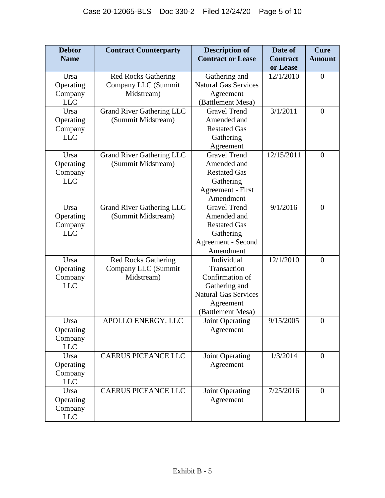| <b>Debtor</b><br><b>Name</b>               | <b>Contract Counterparty</b>                                    | <b>Description of</b><br><b>Contract or Lease</b>                                                                              | Date of<br><b>Contract</b> | Cure<br><b>Amount</b> |
|--------------------------------------------|-----------------------------------------------------------------|--------------------------------------------------------------------------------------------------------------------------------|----------------------------|-----------------------|
|                                            |                                                                 |                                                                                                                                | or Lease                   |                       |
| Ursa<br>Operating                          | <b>Red Rocks Gathering</b><br>Company LLC (Summit               | Gathering and<br><b>Natural Gas Services</b>                                                                                   | 12/1/2010                  | $\overline{0}$        |
| Company<br><b>LLC</b>                      | Midstream)                                                      | Agreement<br>(Battlement Mesa)                                                                                                 |                            |                       |
| Ursa<br>Operating<br>Company<br><b>LLC</b> | <b>Grand River Gathering LLC</b><br>(Summit Midstream)          | <b>Gravel Trend</b><br>Amended and<br><b>Restated Gas</b><br>Gathering<br>Agreement                                            | 3/1/2011                   | $\overline{0}$        |
| Ursa<br>Operating<br>Company<br><b>LLC</b> | <b>Grand River Gathering LLC</b><br>(Summit Midstream)          | <b>Gravel Trend</b><br>Amended and<br><b>Restated Gas</b><br>Gathering<br>Agreement - First<br>Amendment                       | 12/15/2011                 | $\overline{0}$        |
| Ursa<br>Operating<br>Company<br><b>LLC</b> | <b>Grand River Gathering LLC</b><br>(Summit Midstream)          | <b>Gravel Trend</b><br>Amended and<br><b>Restated Gas</b><br>Gathering<br>Agreement - Second<br>Amendment                      | 9/1/2016                   | $\overline{0}$        |
| Ursa<br>Operating<br>Company<br><b>LLC</b> | <b>Red Rocks Gathering</b><br>Company LLC (Summit<br>Midstream) | Individual<br>Transaction<br>Confirmation of<br>Gathering and<br><b>Natural Gas Services</b><br>Agreement<br>(Battlement Mesa) | 12/1/2010                  | $\theta$              |
| Ursa<br>Operating<br>Company<br><b>LLC</b> | APOLLO ENERGY, LLC                                              | Joint Operating<br>Agreement                                                                                                   | 9/15/2005                  | $\overline{0}$        |
| Ursa<br>Operating<br>Company<br><b>LLC</b> | <b>CAERUS PICEANCE LLC</b>                                      | <b>Joint Operating</b><br>Agreement                                                                                            | 1/3/2014                   | $\overline{0}$        |
| Ursa<br>Operating<br>Company<br><b>LLC</b> | <b>CAERUS PICEANCE LLC</b>                                      | <b>Joint Operating</b><br>Agreement                                                                                            | 7/25/2016                  | $\overline{0}$        |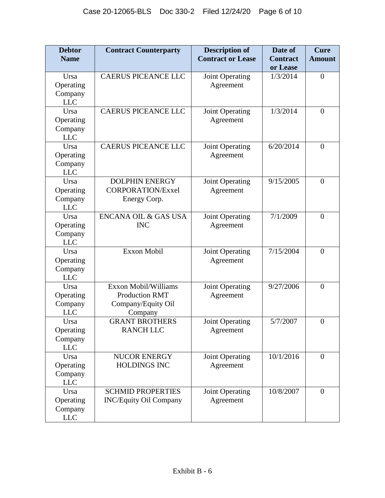| <b>Debtor</b>                              | <b>Contract Counterparty</b>                                                          | <b>Description of</b>        | Date of                     | Cure             |
|--------------------------------------------|---------------------------------------------------------------------------------------|------------------------------|-----------------------------|------------------|
| <b>Name</b>                                |                                                                                       | <b>Contract or Lease</b>     | <b>Contract</b><br>or Lease | <b>Amount</b>    |
| Ursa<br>Operating<br>Company<br><b>LLC</b> | <b>CAERUS PICEANCE LLC</b>                                                            | Joint Operating<br>Agreement | 1/3/2014                    | $\mathbf{0}$     |
| Ursa<br>Operating<br>Company<br><b>LLC</b> | <b>CAERUS PICEANCE LLC</b>                                                            | Joint Operating<br>Agreement | 1/3/2014                    | $\overline{0}$   |
| Ursa<br>Operating<br>Company<br><b>LLC</b> | <b>CAERUS PICEANCE LLC</b>                                                            | Joint Operating<br>Agreement | 6/20/2014                   | $\mathbf{0}$     |
| Ursa<br>Operating<br>Company<br><b>LLC</b> | <b>DOLPHIN ENERGY</b><br><b>CORPORATION/Exxel</b><br>Energy Corp.                     | Joint Operating<br>Agreement | 9/15/2005                   | $\theta$         |
| Ursa<br>Operating<br>Company<br><b>LLC</b> | <b>ENCANA OIL &amp; GAS USA</b><br><b>INC</b>                                         | Joint Operating<br>Agreement | 7/1/2009                    | $\overline{0}$   |
| Ursa<br>Operating<br>Company<br><b>LLC</b> | <b>Exxon Mobil</b>                                                                    | Joint Operating<br>Agreement | 7/15/2004                   | $\boldsymbol{0}$ |
| Ursa<br>Operating<br>Company<br><b>LLC</b> | <b>Exxon Mobil/Williams</b><br><b>Production RMT</b><br>Company/Equity Oil<br>Company | Joint Operating<br>Agreement | 9/27/2006                   | $\theta$         |
| Ursa<br>Operating<br>Company<br><b>LLC</b> | <b>GRANT BROTHERS</b><br><b>RANCH LLC</b>                                             | Joint Operating<br>Agreement | 5/7/2007                    | $\boldsymbol{0}$ |
| Ursa<br>Operating<br>Company<br><b>LLC</b> | NUCOR ENERGY<br><b>HOLDINGS INC</b>                                                   | Joint Operating<br>Agreement | 10/1/2016                   | $\overline{0}$   |
| Ursa<br>Operating<br>Company<br><b>LLC</b> | <b>SCHMID PROPERTIES</b><br><b>INC/Equity Oil Company</b>                             | Joint Operating<br>Agreement | 10/8/2007                   | $\theta$         |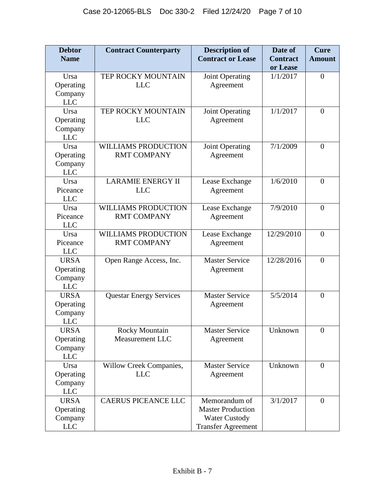| <b>Debtor</b>             | <b>Contract Counterparty</b>     | <b>Description of</b>                            | Date of              | <b>Cure</b>      |
|---------------------------|----------------------------------|--------------------------------------------------|----------------------|------------------|
| <b>Name</b>               |                                  | <b>Contract or Lease</b>                         | <b>Contract</b>      | <b>Amount</b>    |
| Ursa                      | TEP ROCKY MOUNTAIN               | Joint Operating                                  | or Lease<br>1/1/2017 | $\boldsymbol{0}$ |
| Operating                 | <b>LLC</b>                       | Agreement                                        |                      |                  |
| Company                   |                                  |                                                  |                      |                  |
| <b>LLC</b>                |                                  |                                                  |                      |                  |
| Ursa                      | TEP ROCKY MOUNTAIN<br><b>LLC</b> | Joint Operating                                  | 1/1/2017             | $\overline{0}$   |
| Operating<br>Company      |                                  | Agreement                                        |                      |                  |
| <b>LLC</b>                |                                  |                                                  |                      |                  |
| Ursa                      | <b>WILLIAMS PRODUCTION</b>       | Joint Operating                                  | 7/1/2009             | $\theta$         |
| Operating                 | <b>RMT COMPANY</b>               | Agreement                                        |                      |                  |
| Company<br><b>LLC</b>     |                                  |                                                  |                      |                  |
| Ursa                      | <b>LARAMIE ENERGY II</b>         | Lease Exchange                                   | 1/6/2010             | $\theta$         |
| Piceance                  | <b>LLC</b>                       | Agreement                                        |                      |                  |
| <b>LLC</b>                |                                  |                                                  |                      |                  |
| Ursa                      | <b>WILLIAMS PRODUCTION</b>       | Lease Exchange                                   | 7/9/2010             | $\theta$         |
| Piceance                  | <b>RMT COMPANY</b>               | Agreement                                        |                      |                  |
| <b>LLC</b><br>Ursa        | <b>WILLIAMS PRODUCTION</b>       | Lease Exchange                                   | 12/29/2010           | $\theta$         |
| Piceance                  | <b>RMT COMPANY</b>               | Agreement                                        |                      |                  |
| <b>LLC</b>                |                                  |                                                  |                      |                  |
| <b>URSA</b>               | Open Range Access, Inc.          | <b>Master Service</b>                            | 12/28/2016           | $\boldsymbol{0}$ |
| Operating                 |                                  | Agreement                                        |                      |                  |
| Company                   |                                  |                                                  |                      |                  |
| <b>LLC</b><br><b>URSA</b> | <b>Questar Energy Services</b>   | <b>Master Service</b>                            | 5/5/2014             | $\theta$         |
| Operating                 |                                  | Agreement                                        |                      |                  |
| Company                   |                                  |                                                  |                      |                  |
| <b>LLC</b>                |                                  |                                                  |                      |                  |
| <b>URSA</b>               | <b>Rocky Mountain</b>            | <b>Master Service</b>                            | Unknown              | $\overline{0}$   |
| Operating                 | Measurement LLC                  | Agreement                                        |                      |                  |
| Company<br><b>LLC</b>     |                                  |                                                  |                      |                  |
| Ursa                      | Willow Creek Companies,          | <b>Master Service</b>                            | Unknown              | $\theta$         |
| Operating                 | <b>LLC</b>                       | Agreement                                        |                      |                  |
| Company                   |                                  |                                                  |                      |                  |
| <b>LLC</b>                |                                  |                                                  |                      |                  |
| <b>URSA</b>               | <b>CAERUS PICEANCE LLC</b>       | Memorandum of                                    | 3/1/2017             | $\overline{0}$   |
| Operating<br>Company      |                                  | <b>Master Production</b><br><b>Water Custody</b> |                      |                  |
| <b>LLC</b>                |                                  | <b>Transfer Agreement</b>                        |                      |                  |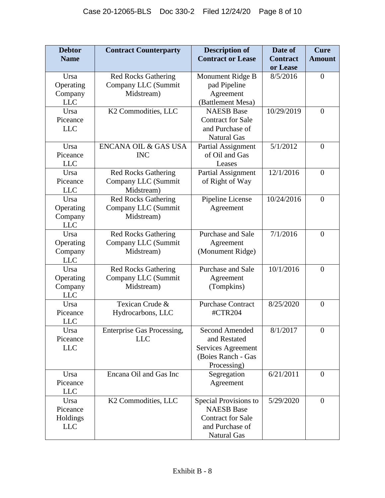| <b>Debtor</b> | <b>Contract Counterparty</b> | <b>Description of</b>     | Date of         | <b>Cure</b>      |
|---------------|------------------------------|---------------------------|-----------------|------------------|
| <b>Name</b>   |                              | <b>Contract or Lease</b>  | <b>Contract</b> | <b>Amount</b>    |
|               |                              |                           | or Lease        |                  |
| Ursa          | <b>Red Rocks Gathering</b>   | Monument Ridge B          | 8/5/2016        | $\overline{0}$   |
| Operating     | Company LLC (Summit          | pad Pipeline              |                 |                  |
| Company       | Midstream)                   | Agreement                 |                 |                  |
| <b>LLC</b>    |                              | (Battlement Mesa)         |                 |                  |
| Ursa          | K2 Commodities, LLC          | <b>NAESB</b> Base         | 10/29/2019      | $\boldsymbol{0}$ |
| Piceance      |                              | <b>Contract for Sale</b>  |                 |                  |
| <b>LLC</b>    |                              | and Purchase of           |                 |                  |
|               |                              | <b>Natural Gas</b>        |                 |                  |
| Ursa          | ENCANA OIL & GAS USA         | Partial Assignment        | 5/1/2012        | $\theta$         |
| Piceance      | <b>INC</b>                   | of Oil and Gas            |                 |                  |
| <b>LLC</b>    |                              | Leases                    |                 |                  |
| Ursa          | <b>Red Rocks Gathering</b>   | <b>Partial Assignment</b> | 12/1/2016       | $\theta$         |
| Piceance      | Company LLC (Summit          | of Right of Way           |                 |                  |
| <b>LLC</b>    | Midstream)                   |                           |                 |                  |
| Ursa          | <b>Red Rocks Gathering</b>   | Pipeline License          | 10/24/2016      | $\theta$         |
| Operating     | Company LLC (Summit          | Agreement                 |                 |                  |
| Company       | Midstream)                   |                           |                 |                  |
| <b>LLC</b>    |                              |                           |                 |                  |
| Ursa          | <b>Red Rocks Gathering</b>   | Purchase and Sale         | 7/1/2016        | $\overline{0}$   |
| Operating     | Company LLC (Summit          | Agreement                 |                 |                  |
| Company       | Midstream)                   | (Monument Ridge)          |                 |                  |
| <b>LLC</b>    |                              |                           |                 |                  |
| Ursa          | <b>Red Rocks Gathering</b>   | Purchase and Sale         | 10/1/2016       | $\overline{0}$   |
| Operating     | Company LLC (Summit          | Agreement                 |                 |                  |
| Company       | Midstream)                   | (Tompkins)                |                 |                  |
| <b>LLC</b>    |                              |                           |                 |                  |
| Ursa          | Texican Crude &              | <b>Purchase Contract</b>  | 8/25/2020       | $\boldsymbol{0}$ |
| Piceance      | Hydrocarbons, LLC            | #CTR204                   |                 |                  |
| <b>LLC</b>    |                              |                           |                 |                  |
| Ursa          | Enterprise Gas Processing,   | <b>Second Amended</b>     | 8/1/2017        | $\overline{0}$   |
| Piceance      | <b>LLC</b>                   | and Restated              |                 |                  |
| <b>LLC</b>    |                              | Services Agreement        |                 |                  |
|               |                              | (Boies Ranch - Gas        |                 |                  |
|               |                              | Processing)               |                 |                  |
| Ursa          | Encana Oil and Gas Inc       | Segregation               | 6/21/2011       | $\overline{0}$   |
| Piceance      |                              | Agreement                 |                 |                  |
| <b>LLC</b>    |                              |                           |                 |                  |
| Ursa          | K2 Commodities, LLC          | Special Provisions to     | 5/29/2020       | $\theta$         |
| Piceance      |                              | <b>NAESB</b> Base         |                 |                  |
| Holdings      |                              | <b>Contract for Sale</b>  |                 |                  |
| <b>LLC</b>    |                              | and Purchase of           |                 |                  |
|               |                              | <b>Natural Gas</b>        |                 |                  |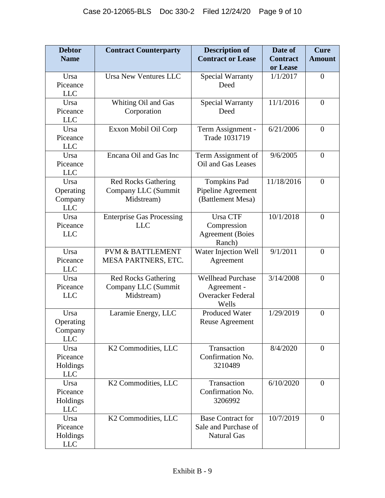| <b>Debtor</b><br><b>Name</b>               | <b>Contract Counterparty</b>                                    | <b>Description of</b><br><b>Contract or Lease</b>                            | Date of<br><b>Contract</b> | <b>Cure</b><br><b>Amount</b> |
|--------------------------------------------|-----------------------------------------------------------------|------------------------------------------------------------------------------|----------------------------|------------------------------|
|                                            |                                                                 |                                                                              | or Lease                   |                              |
| Ursa<br>Piceance<br><b>LLC</b>             | <b>Ursa New Ventures LLC</b>                                    | <b>Special Warranty</b><br>Deed                                              | 1/1/2017                   | $\overline{0}$               |
| Ursa<br>Piceance<br><b>LLC</b>             | Whiting Oil and Gas<br>Corporation                              | <b>Special Warranty</b><br>Deed                                              | 11/1/2016                  | $\overline{0}$               |
| Ursa<br>Piceance<br><b>LLC</b>             | Exxon Mobil Oil Corp                                            | Term Assignment -<br>Trade 1031719                                           | 6/21/2006                  | $\overline{0}$               |
| Ursa<br>Piceance<br><b>LLC</b>             | Encana Oil and Gas Inc                                          | Term Assignment of<br>Oil and Gas Leases                                     | 9/6/2005                   | $\overline{0}$               |
| Ursa<br>Operating<br>Company<br><b>LLC</b> | <b>Red Rocks Gathering</b><br>Company LLC (Summit<br>Midstream) | <b>Tompkins Pad</b><br>Pipeline Agreement<br>(Battlement Mesa)               | 11/18/2016                 | $\overline{0}$               |
| Ursa<br>Piceance<br><b>LLC</b>             | <b>Enterprise Gas Processing</b><br><b>LLC</b>                  | Ursa CTF<br>Compression<br><b>Agreement</b> (Boies<br>Ranch)                 | 10/1/2018                  | $\theta$                     |
| Ursa<br>Piceance<br><b>LLC</b>             | <b>PVM &amp; BATTLEMENT</b><br>MESA PARTNERS, ETC.              | Water Injection Well<br>Agreement                                            | 9/1/2011                   | $\overline{0}$               |
| Ursa<br>Piceance<br><b>LLC</b>             | <b>Red Rocks Gathering</b><br>Company LLC (Summit<br>Midstream) | <b>Wellhead Purchase</b><br>Agreement -<br><b>Overacker Federal</b><br>Wells | 3/14/2008                  | $\overline{0}$               |
| Ursa<br>Operating<br>Company<br><b>LLC</b> | Laramie Energy, LLC                                             | <b>Produced Water</b><br><b>Reuse Agreement</b>                              | 1/29/2019                  | $\overline{0}$               |
| Ursa<br>Piceance<br>Holdings<br><b>LLC</b> | K2 Commodities, LLC                                             | Transaction<br>Confirmation No.<br>3210489                                   | 8/4/2020                   | $\overline{0}$               |
| Ursa<br>Piceance<br>Holdings<br><b>LLC</b> | K2 Commodities, LLC                                             | Transaction<br>Confirmation No.<br>3206992                                   | 6/10/2020                  | $\overline{0}$               |
| Ursa<br>Piceance<br>Holdings<br><b>LLC</b> | K2 Commodities, LLC                                             | <b>Base Contract for</b><br>Sale and Purchase of<br><b>Natural Gas</b>       | 10/7/2019                  | $\overline{0}$               |